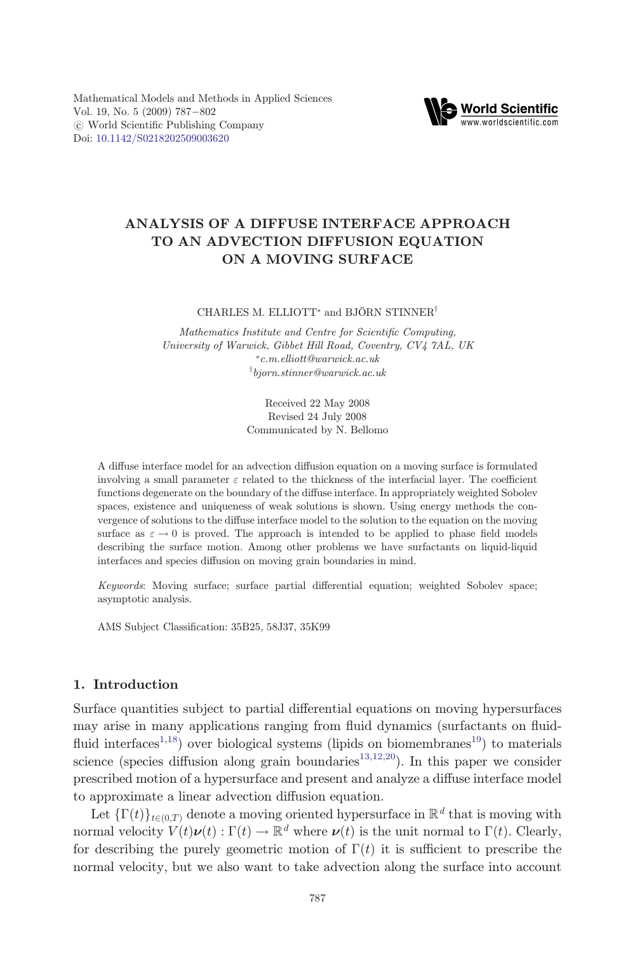

# ANALYSIS OF A DIFFUSE INTERFACE APPROACH TO AN ADVECTION DIFFUSION EQUATION ON A MOVING SURFACE

CHARLES M. ELLIOTT<sup>\*</sup> and BJÖRN STINNER<sup>†</sup>

Mathematics Institute and Centre for Scientific Computing, University of Warwick, Gibbet Hill Road, Coventry, CV4 7AL, UK \*c.m.elliott@warwick.ac.uk  $\lceil~bjorn.stinner@warwick.ac.uk$ 

> Received 22 May 2008 Revised 24 July 2008 Communicated by N. Bellomo

A diffuse interface model for an advection diffusion equation on a moving surface is formulated involving a small parameter  $\varepsilon$  related to the thickness of the interfacial layer. The coefficient functions degenerate on the boundary of the diffuse interface. In appropriately weighted Sobolev spaces, existence and uniqueness of weak solutions is shown. Using energy methods the convergence of solutions to the diffuse interface model to the solution to the equation on the moving surface as  $\varepsilon \to 0$  is proved. The approach is intended to be applied to phase field models describing the surface motion. Among other problems we have surfactants on liquid-liquid interfaces and species diffusion on moving grain boundaries in mind.

Keywords: Moving surface; surface partial differential equation; weighted Sobolev space; asymptotic analysis.

AMS Subject Classification: 35B25, 58J37, 35K99

# 1. Introduction

Surface quantities subject to partial differential equations on moving hypersurfaces may arise in many applications ranging from fluid dynamics (surfactants on fluid-fluid interfaces<sup>[1](#page-14-0),18</sup>) over biological systems (lipids on biomembranes<sup>19</sup>) to materials science (species diffusion along grain boundaries<sup>[13](#page-15-0),12,20</sup>). In this paper we consider prescribed motion of a hypersurface and present and analyze a diffuse interface model to approximate a linear advection diffusion equation.

Let  $\{\Gamma(t)\}_{t\in(0,T)}$  denote a moving oriented hypersurface in  $\mathbb{R}^d$  that is moving with normal velocity  $V(t)\nu(t): \Gamma(t) \to \mathbb{R}^d$  where  $\nu(t)$  is the unit normal to  $\Gamma(t)$ . Clearly, for describing the purely geometric motion of  $\Gamma(t)$  it is sufficient to prescribe the normal velocity, but we also want to take advection along the surface into account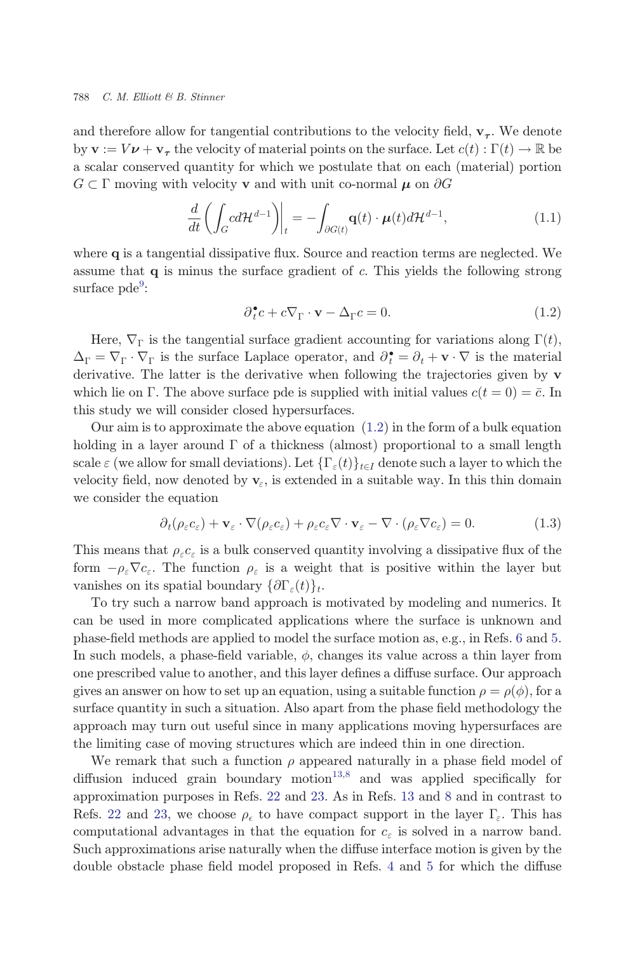<span id="page-1-0"></span>and therefore allow for tangential contributions to the velocity field,  $\mathbf{v}_{\tau}$ . We denote by  $\mathbf{v} := V \mathbf{\nu} + \mathbf{v}_{\tau}$  the velocity of material points on the surface. Let  $c(t): \Gamma(t) \to \mathbb{R}$  be a scalar conserved quantity for which we postulate that on each (material) portion  $G \subset \Gamma$  moving with velocity  ${\bf v}$  and with unit co-normal  ${\boldsymbol \mu}$  on  $\partial G$ 

$$
\frac{d}{dt}\left(\int_{G}cd\mathcal{H}^{d-1}\right)\bigg|_{t} = -\int_{\partial G(t)}\mathbf{q}(t)\cdot\mu(t)d\mathcal{H}^{d-1},\tag{1.1}
$$

where  $q$  is a tangential dissipative flux. Source and reaction terms are neglected. We assume that q is minus the surface gradient of c. This yields the following strong surface pde<sup>[9](#page-14-0)</sup>:

$$
\partial_t^{\bullet} c + c \nabla_{\Gamma} \cdot \mathbf{v} - \Delta_{\Gamma} c = 0. \tag{1.2}
$$

Here,  $\nabla_{\Gamma}$  is the tangential surface gradient accounting for variations along  $\Gamma(t)$ ,  $\Delta_{\Gamma} = \nabla_{\Gamma} \cdot \nabla_{\Gamma}$  is the surface Laplace operator, and  $\partial_{\tau}^{\bullet} = \partial_t + \mathbf{v} \cdot \nabla$  is the material derivative. The latter is the derivative when following the trajectories given by **y** derivative. The latter is the derivative when following the trajectories given by v which lie on  $\Gamma$ . The above surface pde is supplied with initial values  $c(t = 0) = \bar{c}$ . In this study we will consider closed hypersurfaces.

Our aim is to approximate the above equation  $(1.2)$  in the form of a bulk equation holding in a layer around  $\Gamma$  of a thickness (almost) proportional to a small length scale  $\varepsilon$  (we allow for small deviations). Let  $\{\Gamma_{\varepsilon}(t)\}_{{t \in I}}$  denote such a layer to which the velocity field, now denoted by  $\mathbf{v}_{\varepsilon}$ , is extended in a suitable way. In this thin domain we consider the equation

$$
\partial_t (\rho_\varepsilon c_\varepsilon) + \mathbf{v}_\varepsilon \cdot \nabla (\rho_\varepsilon c_\varepsilon) + \rho_\varepsilon c_\varepsilon \nabla \cdot \mathbf{v}_\varepsilon - \nabla \cdot (\rho_\varepsilon \nabla c_\varepsilon) = 0.
$$
 (1.3)

This means that  $\rho_{\varepsilon} c_{\varepsilon}$  is a bulk conserved quantity involving a dissipative flux of the form  $-\rho_{\varepsilon}\nabla c_{\varepsilon}$ . The function  $\rho_{\varepsilon}$  is a weight that is positive within the layer but vanishes on its spatial boundary  $\{\partial \Gamma_{\varepsilon}(t)\}_t$ .

To try such a narrow band approach is motivated by modeling and numerics. It can be used in more complicated applications where the surface is unknown and phase-field methods are applied to model the surface motion as, e.g., in Refs. [6](#page-14-0) and [5](#page-14-0). In such models, a phase-field variable,  $\phi$ , changes its value across a thin layer from one prescribed value to another, and this layer defines a diffuse surface. Our approach gives an answer on how to set up an equation, using a suitable function  $\rho = \rho(\phi)$ , for a<br>surface quantity in such a situation. Also apart from the phase field methodology the surface quantity in such a situation. Also apart from the phase field methodology the approach may turn out useful since in many applications moving hypersurfaces are the limiting case of moving structures which are indeed thin in one direction.

We remark that such a function  $\rho$  appeared naturally in a phase field model of diffusion induced grain boundary motion<sup>[13](#page-15-0)[,8](#page-14-0)</sup> and was applied specifically for approximation purposes in Refs. [22](#page-15-0) and [23](#page-15-0). As in Refs. [13](#page-15-0) and [8](#page-14-0) and in contrast to Refs. [22](#page-15-0) and [23](#page-15-0), we choose  $\rho_{\epsilon}$  to have compact support in the layer  $\Gamma_{\epsilon}$ . This has computational advantages in that the equation for  $c_{\varepsilon}$  is solved in a narrow band. Such approximations arise naturally when the diffuse interface motion is given by the double obstacle phase field model proposed in Refs. [4](#page-14-0) and [5](#page-14-0) for which the diffuse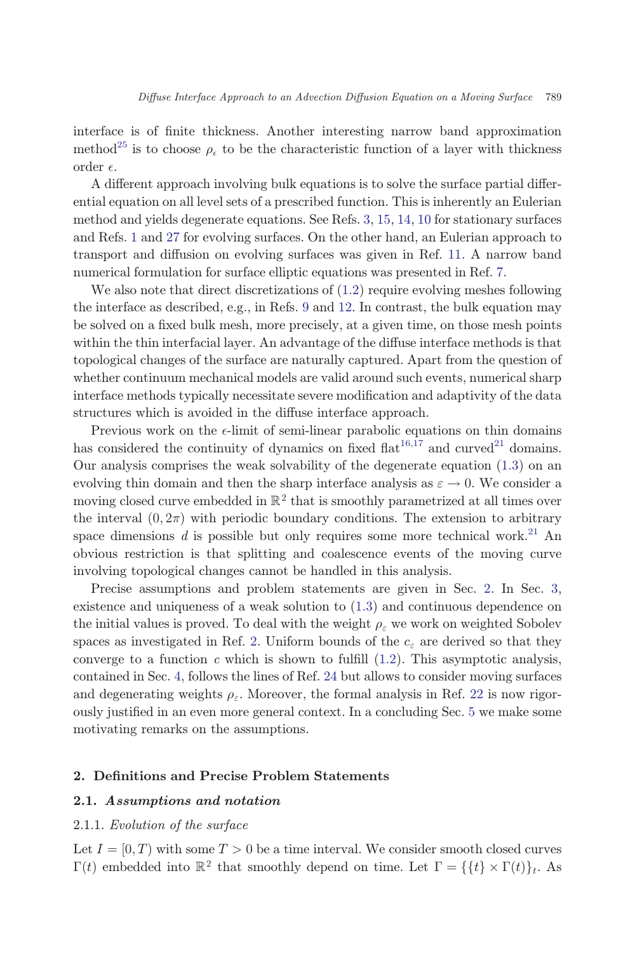<span id="page-2-0"></span>interface is of finite thickness. Another interesting narrow band approximation method<sup>[25](#page-15-0)</sup> is to choose  $\rho_{\epsilon}$  to be the characteristic function of a layer with thickness order  $\epsilon$ .

A different approach involving bulk equations is to solve the surface partial differential equation on all level sets of a prescribed function. This is inherently an Eulerian method and yields degenerate equations. See Refs. [3,](#page-14-0) [15,](#page-15-0) [14,](#page-15-0) [10](#page-15-0) for stationary surfaces and Refs. [1](#page-14-0) and [27](#page-15-0) for evolving surfaces. On the other hand, an Eulerian approach to transport and diffusion on evolving surfaces was given in Ref. [11](#page-15-0). A narrow band numerical formulation for surface elliptic equations was presented in Ref. [7.](#page-14-0)

We also note that direct discretizations of  $(1.2)$  require evolving meshes following the interface as described, e.g., in Refs. [9](#page-14-0) and [12](#page-15-0). In contrast, the bulk equation may be solved on a fixed bulk mesh, more precisely, at a given time, on those mesh points within the thin interfacial layer. An advantage of the diffuse interface methods is that topological changes of the surface are naturally captured. Apart from the question of whether continuum mechanical models are valid around such events, numerical sharp interface methods typically necessitate severe modification and adaptivity of the data structures which is avoided in the diffuse interface approach.

Previous work on the  $\epsilon$ -limit of semi-linear parabolic equations on thin domains has considered the continuity of dynamics on fixed  $\text{flat}^{16,\overline{17}}$  and curved<sup>[21](#page-15-0)</sup> domains. Our analysis comprises the weak solvability of the degenerate equation ([1.3](#page-1-0)) on an evolving thin domain and then the sharp interface analysis as  $\varepsilon \to 0$ . We consider a moving closed curve embedded in  $\mathbb{R}^2$  that is smoothly parametrized at all times over the interval  $(0, 2\pi)$  with periodic boundary conditions. The extension to arbitrary space dimensions d is possible but only requires some more technical work.<sup>[21](#page-15-0)</sup> An obvious restriction is that splitting and coalescence events of the moving curve involving topological changes cannot be handled in this analysis.

Precise assumptions and problem statements are given in Sec. 2. In Sec. [3](#page-8-0), existence and uniqueness of a weak solution to [\(1.3\)](#page-1-0) and continuous dependence on the initial values is proved. To deal with the weight  $\rho_{\varepsilon}$  we work on weighted Sobolev spaces as investigated in Ref. [2](#page-14-0). Uniform bounds of the  $c_{\varepsilon}$  are derived so that they converge to a function c which is shown to fulfill  $(1.2)$  $(1.2)$ . This asymptotic analysis, contained in Sec. [4](#page-11-0), follows the lines of Ref. [24](#page-15-0) but allows to consider moving surfaces and degenerating weights  $\rho_{\varepsilon}$ . Moreover, the formal analysis in Ref. [22](#page-15-0) is now rigor-ously justified in an even more general context. In a concluding Sec. [5](#page-12-0) we make some motivating remarks on the assumptions.

# 2. Definitions and Precise Problem Statements

# 2.1. Assumptions and notation

#### 2.1.1. Evolution of the surface

Let  $I = [0, T)$  with some  $T > 0$  be a time interval. We consider smooth closed curves  $\Gamma(t)$  embedded into  $\mathbb{R}^2$  that smoothly depend on time. Let  $\Gamma = \{\{t\} \times \Gamma(t)\}_t$ . As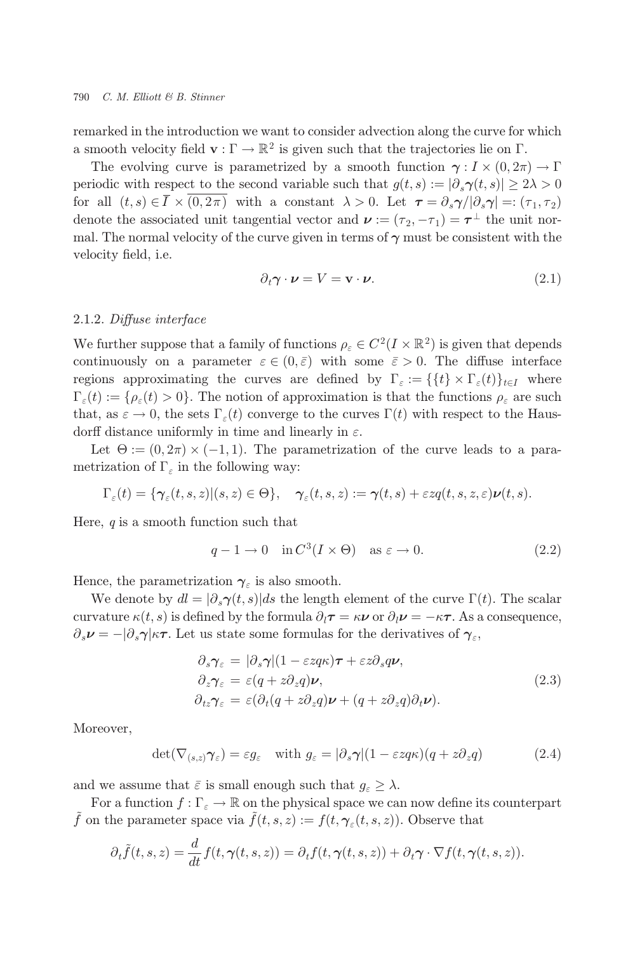<span id="page-3-0"></span>remarked in the introduction we want to consider advection along the curve for which a smooth velocity field  $\mathbf{v} : \Gamma \to \mathbb{R}^2$  is given such that the trajectories lie on  $\Gamma$ .

The evolving curve is parametrized by a smooth function  $\gamma: I \times (0, 2\pi) \to \Gamma$ periodic with respect to the second variable such that  $q(t,s) := |\partial_s \gamma(t,s)| > 2\lambda > 0$ for all  $(t, s) \in \overline{I} \times (0, 2\pi)$  with a constant  $\lambda > 0$ . Let  $\tau = \partial_s \gamma/|\partial_s \gamma| =: (\tau_1, \tau_2)$ denote the associated unit tangential vector and  $\nu := (\tau_2, -\tau_1) = \tau^{\perp}$  the unit normal. The normal velocity of the curve given in terms of  $\gamma$  must be consistent with the velocity field, *i.e.* 

$$
\partial_t \gamma \cdot \nu = V = \mathbf{v} \cdot \nu. \tag{2.1}
$$

# 2.1.2. Diffuse interface

We further suppose that a family of functions  $\rho_{\varepsilon} \in C^2(I \times \mathbb{R}^2)$  is given that depends continuously on a parameter  $\varepsilon \in (0,\bar{\varepsilon})$  with some  $\bar{\varepsilon} > 0$ . The diffuse interface regions approximating the curves are defined by  $\Gamma_{\varepsilon} := \{ \{t\} \times \Gamma_{\varepsilon}(t) \}_{t \in I}$  where  $\Gamma_{\varepsilon}(t) := \{\rho_{\varepsilon}(t) > 0\}.$  The notion of approximation is that the functions  $\rho_{\varepsilon}$  are such that, as  $\varepsilon \to 0$ , the sets  $\Gamma_{\varepsilon}(t)$  converge to the curves  $\Gamma(t)$  with respect to the Hausdorff distance uniformly in time and linearly in  $\varepsilon$ .

Let  $\Theta := (0, 2\pi) \times (-1, 1)$ . The parametrization of the curve leads to a parametrization of  $\Gamma_{\varepsilon}$  in the following way:

$$
\Gamma_{\varepsilon}(t) = \{ \gamma_{\varepsilon}(t,s,z) | (s,z) \in \Theta \}, \quad \gamma_{\varepsilon}(t,s,z) := \gamma(t,s) + \varepsilon z q(t,s,z,\varepsilon) \nu(t,s).
$$

Here,  $q$  is a smooth function such that

$$
q - 1 \to 0 \quad \text{in } C^3(I \times \Theta) \quad \text{as } \varepsilon \to 0. \tag{2.2}
$$

Hence, the parametrization  $\gamma_{\varepsilon}$  is also smooth.

We denote by  $dl = |\partial_s \gamma(t, s)| ds$  the length element of the curve  $\Gamma(t)$ . The scalar curvature  $\kappa(t, s)$  is defined by the formula  $\partial_t \mathbf{r} = \kappa \nu$  or  $\partial_t \nu = -\kappa \tau$ . As a consequence,  $\partial_s \nu = -\partial_s \gamma \kappa \tau$ . Let us state some formulas for the derivatives of  $\gamma_{\varepsilon}$ ,

$$
\partial_s \gamma_{\varepsilon} = |\partial_s \gamma| (1 - \varepsilon z q \kappa) \boldsymbol{\tau} + \varepsilon z \partial_s q \boldsymbol{\nu}, \n\partial_z \gamma_{\varepsilon} = \varepsilon (q + z \partial_z q) \boldsymbol{\nu}, \n\partial_{tz} \gamma_{\varepsilon} = \varepsilon (\partial_t (q + z \partial_z q) \boldsymbol{\nu} + (q + z \partial_z q) \partial_t \boldsymbol{\nu}).
$$
\n(2.3)

Moreover,

$$
\det(\nabla_{(s,z)}\gamma_{\varepsilon}) = \varepsilon g_{\varepsilon} \quad \text{with } g_{\varepsilon} = |\partial_s \gamma| (1 - \varepsilon z q \kappa) (q + z \partial_z q) \tag{2.4}
$$

and we assume that  $\bar{\varepsilon}$  is small enough such that  $g_{\varepsilon} \geq \lambda$ .

For a function  $f: \Gamma_{\varepsilon} \to \mathbb{R}$  on the physical space we can now define its counterpart  $\tilde{f}$  on the parameter space via  $\tilde{f}(t, s, z) := f(t, \gamma_{\varepsilon}(t, s, z))$ . Observe that

$$
\partial_t \tilde{f}(t,s,z) = \frac{d}{dt} f(t,\gamma(t,s,z)) = \partial_t f(t,\gamma(t,s,z)) + \partial_t \gamma \cdot \nabla f(t,\gamma(t,s,z)).
$$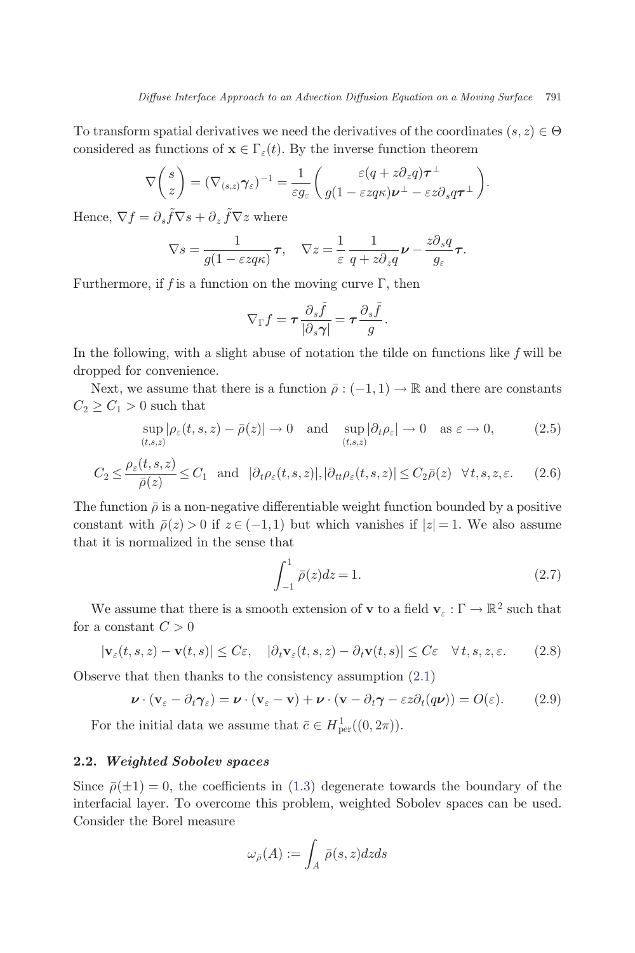<span id="page-4-0"></span>To transform spatial derivatives we need the derivatives of the coordinates  $(s, z) \in \Theta$ considered as functions of  $\mathbf{x} \in \Gamma_{\varepsilon}(t)$ . By the inverse function theorem

$$
\nabla\left(\frac{s}{z}\right) = (\nabla_{(s,z)}\gamma_{\varepsilon})^{-1} = \frac{1}{\varepsilon g_{\varepsilon}}\left(\frac{\varepsilon(q + z\partial_z q)\boldsymbol{\tau}^{\perp}}{g(1 - \varepsilon z q \kappa)\boldsymbol{\nu}^{\perp} - \varepsilon z \partial_s q\boldsymbol{\tau}^{\perp}}\right).
$$

Hence,  $\nabla f = \partial_s \tilde{f} \nabla s + \partial_z \tilde{f} \nabla z$  where

$$
\nabla s = \frac{1}{g(1 - \varepsilon z q \kappa)} \boldsymbol{\tau}, \quad \nabla z = \frac{1}{\varepsilon} \frac{1}{q + z \partial_z q} \boldsymbol{\nu} - \frac{z \partial_s q}{g_\varepsilon} \boldsymbol{\tau}.
$$

Furthermore, if f is a function on the moving curve  $\Gamma$ , then

$$
\nabla_{\Gamma} f = \tau \frac{\partial_s \tilde{f}}{|\partial_s \gamma|} = \tau \frac{\partial_s \tilde{f}}{g}.
$$

In the following, with a slight abuse of notation the tilde on functions like  $f$  will be dropped for convenience.

Next, we assume that there is a function  $\bar{\rho}: (-1,1) \to \mathbb{R}$  and there are constants  $C_2 \geq C_1 > 0$  such that

$$
\sup_{(t,s,z)} |\rho_{\varepsilon}(t,s,z) - \bar{\rho}(z)| \to 0 \quad \text{and} \quad \sup_{(t,s,z)} |\partial_t \rho_{\varepsilon}| \to 0 \quad \text{as } \varepsilon \to 0,
$$
 (2.5)

$$
C_2 \le \frac{\rho_\varepsilon(t, s, z)}{\bar{\rho}(z)} \le C_1 \quad \text{and} \quad |\partial_t \rho_\varepsilon(t, s, z)|, |\partial_{tt} \rho_\varepsilon(t, s, z)| \le C_2 \bar{\rho}(z) \quad \forall t, s, z, \varepsilon. \tag{2.6}
$$

The function  $\bar{\rho}$  is a non-negative differentiable weight function bounded by a positive constant with  $\bar{\rho}(z) > 0$  if  $z \in (-1,1)$  but which vanishes if  $|z| = 1$ . We also assume that it is normalized in the sense that

$$
\int_{-1}^{1} \bar{\rho}(z)dz = 1.
$$
 (2.7)

We assume that there is a smooth extension of  ${\bf v}$  to a field  ${\bf v}_\varepsilon:\Gamma\to\mathbb{R}^2$  such that for a constant  $C > 0$ 

$$
|\mathbf{v}_{\varepsilon}(t,s,z) - \mathbf{v}(t,s)| \le C\varepsilon, \quad |\partial_t \mathbf{v}_{\varepsilon}(t,s,z) - \partial_t \mathbf{v}(t,s)| \le C\varepsilon \quad \forall \, t,s,z,\varepsilon. \tag{2.8}
$$

Observe that then thanks to the consistency assumption ([2.1](#page-3-0))

$$
\boldsymbol{\nu} \cdot (\mathbf{v}_{\varepsilon} - \partial_t \boldsymbol{\gamma}_{\varepsilon}) = \boldsymbol{\nu} \cdot (\mathbf{v}_{\varepsilon} - \mathbf{v}) + \boldsymbol{\nu} \cdot (\mathbf{v} - \partial_t \boldsymbol{\gamma} - \varepsilon z \partial_t (q \boldsymbol{\nu})) = O(\varepsilon).
$$
 (2.9)

For the initial data we assume that  $\bar{c} \in H^1_{\text{per}}((0, 2\pi)).$ 

# 2.2. Weighted Sobolev spaces

Since  $\bar{\rho}(\pm 1)=0$ , the coefficients in [\(1.3\)](#page-1-0) degenerate towards the boundary of the interfacial layer. To overcome this problem, weighted Sobolev spaces can be used. Consider the Borel measure

$$
\omega_{\bar{\rho}}(A) := \int_A \bar{\rho}(s, z) dz ds
$$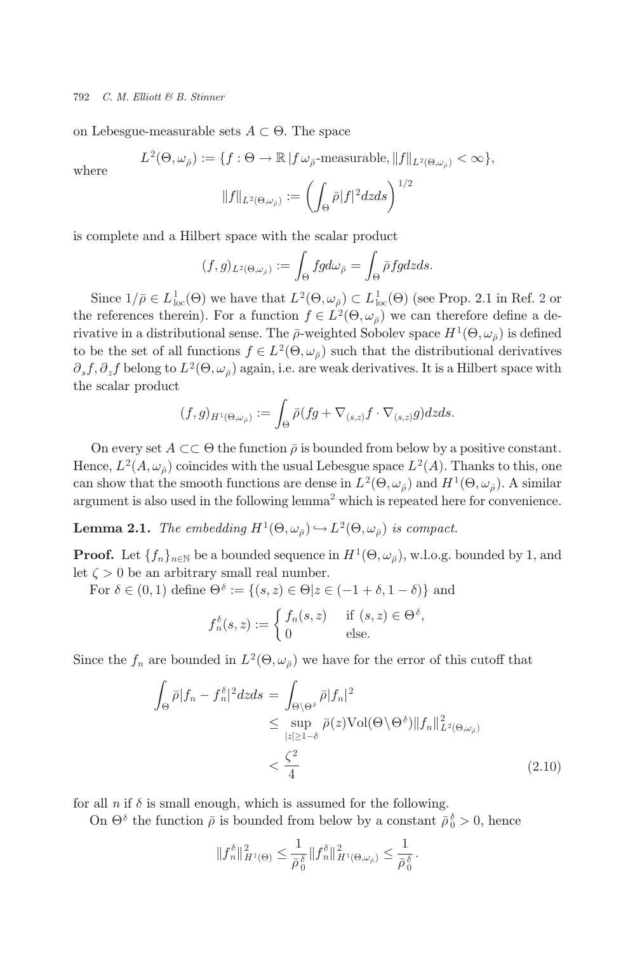<span id="page-5-0"></span>on Lebesgue-measurable sets  $A \subset \Theta$ . The space

where  
\n
$$
L^{2}(\Theta, \omega_{\bar{\rho}}) := \{ f : \Theta \to \mathbb{R} \mid f \omega_{\bar{\rho}} \text{-measurable}, \|f\|_{L^{2}(\Theta, \omega_{\bar{\rho}})} < \infty \},
$$
\n
$$
\|f\|_{L^{2}(\Theta, \omega_{\bar{\rho}})} := \left( \int_{\Theta} \bar{\rho} |f|^{2} dz ds \right)^{1/2}
$$

is complete and a Hilbert space with the scalar product

$$
(f,g)_{L^2(\Theta,\omega_{\bar{\rho}})} := \int_{\Theta} fg d\omega_{\bar{\rho}} = \int_{\Theta} \bar{\rho} fg dz ds.
$$

Since  $1/\bar{\rho} \in L^1_{loc}(\Theta)$  we have that  $L^2(\Theta, \omega_{\bar{\rho}}) \subset L^1_{loc}(\Theta)$  $L^2(\Theta, \omega_{\bar{\rho}}) \subset L^1_{loc}(\Theta)$  $L^2(\Theta, \omega_{\bar{\rho}}) \subset L^1_{loc}(\Theta)$  (see Prop. 2.1 in Ref. 2 or the references therein). For a function  $f \in L^2(\Theta, \omega_{\bar{\rho}})$  we can therefore define a derivative in a distributional sense. The  $\bar{\rho}$ -weighted Sobolev space  $H^1(\Theta, \omega_{\bar{\rho}})$  is defined to be the set of all functions  $f \in L^2(\Theta, \omega_{\bar{\rho}})$  such that the distributional derivatives  $\partial_s f$ ,  $\partial_z f$  belong to  $L^2(\Theta, \omega_{\bar{\rho}})$  again, i.e. are weak derivatives. It is a Hilbert space with the scalar product

$$
(f,g)_{H^1(\Theta,\omega_{\bar{\rho}})} := \int_{\Theta} \bar{\rho} (fg + \nabla_{(s,z)} f \cdot \nabla_{(s,z)} g) dz ds.
$$

On every set  $A \subset\subset \Theta$  the function  $\overline{\rho}$  is bounded from below by a positive constant. Hence,  $L^2(A, \omega_{\bar{\rho}})$  coincides with the usual Lebesgue space  $L^2(A)$ . Thanks to this, one<br>can show that the smooth functions are dones in  $L^2(A, \omega)$  and  $H^1(A, \omega)$ . A similar can show that the smooth functions are dense in  $L^2(\Theta, \omega_{\bar{\rho}})$  and  $H^1(\Theta, \omega_{\bar{\rho}})$ . A similar argument is also used in the following  ${\rm lemma}^2$  ${\rm lemma}^2$  which is repeated here for convenience.

**Lemma 2.1.** The embedding  $H^1(\Theta, \omega_{\bar{\theta}}) \hookrightarrow L^2(\Theta, \omega_{\bar{\theta}})$  is compact.

**Proof.** Let  $\{f_n\}_{n\in\mathbb{N}}$  be a bounded sequence in  $H^1(\Theta, \omega_{\overline{\rho}})$ , w.l.o.g. bounded by 1, and let  $\zeta > 0$  be an arbitrary small real number.

For  $\delta \in (0,1)$  define  $\Theta^{\delta} := \{(s, z) \in \Theta | z \in (-1 + \delta, 1 - \delta) \}$  and

$$
f_n^{\delta}(s, z) := \begin{cases} f_n(s, z) & \text{if } (s, z) \in \Theta^{\delta}, \\ 0 & \text{else.} \end{cases}
$$

Since the  $f_n$  are bounded in  $L^2(\Theta, \omega_{\bar{\rho}})$  we have for the error of this cutoff that

$$
\int_{\Theta} \bar{\rho} |f_n - f_n^{\delta}|^2 dz ds = \int_{\Theta \setminus \Theta^{\delta}} \bar{\rho} |f_n|^2
$$
\n
$$
\leq \sup_{|z| \geq 1 - \delta} \bar{\rho}(z) \text{Vol}(\Theta \setminus \Theta^{\delta}) \|f_n\|_{L^2(\Theta, \omega_{\bar{\rho}})}^2
$$
\n
$$
< \frac{\zeta^2}{4}
$$
\n(2.10)

:

for all  $n$  if  $\delta$  is small enough, which is assumed for the following.

On  $\Theta^{\delta}$  the function  $\bar{\rho}$  is bounded from below by a constant  $\bar{\rho}_0^{\delta} > 0$ , hence

$$
\|f_n^\delta\|_{H^1(\Theta)}^2\leq \frac{1}{\bar\rho_0^\delta}\|f_n^\delta\|_{H^1(\Theta,\omega_{\bar\rho})}^2\leq \frac{1}{\bar\rho_0^\delta}
$$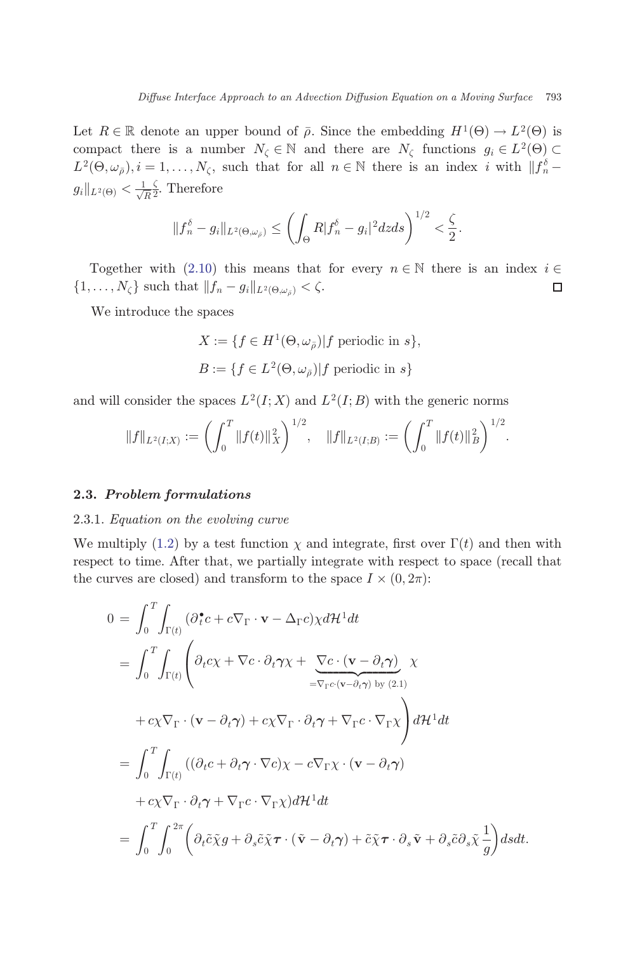Let  $R \in \mathbb{R}$  denote an upper bound of  $\bar{\rho}$ . Since the embedding  $H^1(\Theta) \to L^2(\Theta)$  is compact there is a number  $N_{\zeta} \in \mathbb{N}$  and there are  $N_{\zeta}$  functions  $g_i \in L^2(\Theta) \subset L^2(\Theta \cup j)$  i  $-1$   $N_{\zeta}$  such that for all  $n \in \mathbb{N}$  there is an index i with  $||f|^{\zeta} - ||f||$  $L^2(\Theta, \omega_{\bar{\rho}}), i = 1, \ldots, N_{\zeta}$ , such that for all  $n \in \mathbb{N}$  there is an index i with  $||f_n^{\delta}$  $g_i\|_{L^2(\Theta)} < \frac{1}{\sqrt{R}}$  $\frac{\zeta}{2}$ . Therefore

$$
||f_n^{\delta}-g_i||_{L^2(\Theta,\omega_{\tilde{\rho}})} \leq \left(\int_{\Theta} R|f_n^{\delta}-g_i|^2 dzds\right)^{1/2} < \frac{\zeta}{2}.
$$

Together with ([2.10](#page-5-0)) this means that for every  $n \in \mathbb{N}$  there is an index  $i \in \ldots, N_c$  such that  $||f_n - g_i||_{L^2(\Theta_{\leq i})} < \zeta$ .  $\{1,\ldots,N_{\zeta}\}\$  such that  $||f_n-g_i||_{L^2(\Theta,\omega_{\bar{\rho}})}<\zeta$ .

We introduce the spaces

 $X := \{ f \in H^1(\Theta, \omega_{\bar{\theta}}) | f \text{ periodic in } s \},\$  $B := \{f \in L^2(\Theta, \omega_{\bar{a}}) | f \text{ periodic in } s\}$ 

and will consider the spaces  $L^2(I;X)$  and  $L^2(I;B)$  with the generic norms

$$
||f||_{L^2(I;X)} := \left(\int_0^T ||f(t)||_X^2\right)^{1/2}, \quad ||f||_{L^2(I;B)} := \left(\int_0^T ||f(t)||_B^2\right)^{1/2}.
$$

#### 2.3. Problem formulations

#### 2.3.1. Equation on the evolving curve

We multiply ([1.2](#page-1-0)) by a test function  $\chi$  and integrate, first over  $\Gamma(t)$  and then with<br>recognition of the theory of the series with recognition on the theory respect to time. After that, we partially integrate with respect to space (recall that the curves are closed) and transform to the space  $I \times (0, 2\pi)$ :

$$
0 = \int_0^T \int_{\Gamma(t)} (\partial_t^{\bullet} c + c \nabla_{\Gamma} \cdot \mathbf{v} - \Delta_{\Gamma} c) \chi d\mathcal{H}^1 dt
$$
  
\n
$$
= \int_0^T \int_{\Gamma(t)} \left( \partial_t c \chi + \nabla c \cdot \partial_t \gamma \chi + \underbrace{\nabla c \cdot (\mathbf{v} - \partial_t \gamma)}_{= \nabla_{\Gamma} c \cdot (\mathbf{v} - \partial_t \gamma)} \chi
$$
  
\n
$$
+ c \chi \nabla_{\Gamma} \cdot (\mathbf{v} - \partial_t \gamma) + c \chi \nabla_{\Gamma} \cdot \partial_t \gamma + \nabla_{\Gamma} c \cdot \nabla_{\Gamma} \chi \right) d\mathcal{H}^1 dt
$$
  
\n
$$
= \int_0^T \int_{\Gamma(t)} ((\partial_t c + \partial_t \gamma \cdot \nabla c) \chi - c \nabla_{\Gamma} \chi \cdot (\mathbf{v} - \partial_t \gamma)
$$
  
\n
$$
+ c \chi \nabla_{\Gamma} \cdot \partial_t \gamma + \nabla_{\Gamma} c \cdot \nabla_{\Gamma} \chi) d\mathcal{H}^1 dt
$$
  
\n
$$
= \int_0^T \int_0^{2\pi} \left( \partial_t \tilde{c} \tilde{\chi} g + \partial_s \tilde{c} \tilde{\chi} \tau \cdot (\tilde{\mathbf{v}} - \partial_t \gamma) + \tilde{c} \tilde{\chi} \tau \cdot \partial_s \tilde{\mathbf{v}} + \partial_s \tilde{c} \partial_s \tilde{\chi} \frac{1}{g} \right) ds dt.
$$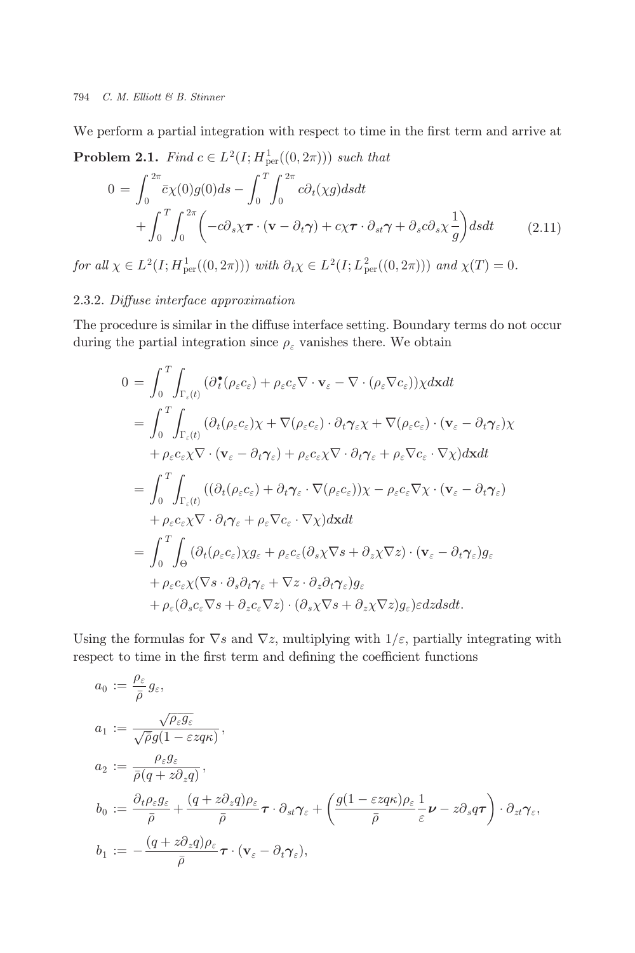<span id="page-7-0"></span>We perform a partial integration with respect to time in the first term and arrive at **Problem 2.1.** Find  $c \in L^2(I; H^1_{\text{per}}((0, 2\pi)))$  such that

$$
0 = \int_0^{2\pi} \bar{c}\chi(0)g(0)ds - \int_0^T \int_0^{2\pi} c\partial_t(\chi g)dsdt + \int_0^T \int_0^{2\pi} \left( -c\partial_s\chi\boldsymbol{\tau} \cdot (\mathbf{v} - \partial_t\boldsymbol{\gamma}) + c\chi\boldsymbol{\tau} \cdot \partial_{st}\boldsymbol{\gamma} + \partial_s c\partial_s\chi\frac{1}{g} \right)dsdt \qquad (2.11)
$$

for all  $\chi \in L^2(I; H^1_{per}((0, 2\pi)))$  with  $\partial_t \chi \in L^2(I; L^2_{per}((0, 2\pi)))$  and  $\chi(T) = 0$ .

# 2.3.2. Diffuse interface approximation

The procedure is similar in the diffuse interface setting. Boundary terms do not occur during the partial integration since  $\rho_\varepsilon$  vanishes there. We obtain

$$
0 = \int_{0}^{T} \int_{\Gamma_{\varepsilon}(t)} (\partial_{t}^{\bullet}(\rho_{\varepsilon}c_{\varepsilon}) + \rho_{\varepsilon}c_{\varepsilon}\nabla \cdot \mathbf{v}_{\varepsilon} - \nabla \cdot (\rho_{\varepsilon}\nabla c_{\varepsilon})) \chi d\mathbf{x} dt
$$
  
\n
$$
= \int_{0}^{T} \int_{\Gamma_{\varepsilon}(t)} (\partial_{t}(\rho_{\varepsilon}c_{\varepsilon})\chi + \nabla(\rho_{\varepsilon}c_{\varepsilon}) \cdot \partial_{t}\gamma_{\varepsilon}\chi + \nabla(\rho_{\varepsilon}c_{\varepsilon}) \cdot (\mathbf{v}_{\varepsilon} - \partial_{t}\gamma_{\varepsilon})\chi
$$
  
\n
$$
+ \rho_{\varepsilon}c_{\varepsilon}\chi \nabla \cdot (\mathbf{v}_{\varepsilon} - \partial_{t}\gamma_{\varepsilon}) + \rho_{\varepsilon}c_{\varepsilon}\chi \nabla \cdot \partial_{t}\gamma_{\varepsilon} + \rho_{\varepsilon}\nabla c_{\varepsilon} \cdot \nabla \chi) d\mathbf{x} dt
$$
  
\n
$$
= \int_{0}^{T} \int_{\Gamma_{\varepsilon}(t)} ((\partial_{t}(\rho_{\varepsilon}c_{\varepsilon}) + \partial_{t}\gamma_{\varepsilon} \cdot \nabla(\rho_{\varepsilon}c_{\varepsilon}))\chi - \rho_{\varepsilon}c_{\varepsilon}\nabla \chi \cdot (\mathbf{v}_{\varepsilon} - \partial_{t}\gamma_{\varepsilon})
$$
  
\n
$$
+ \rho_{\varepsilon}c_{\varepsilon}\chi \nabla \cdot \partial_{t}\gamma_{\varepsilon} + \rho_{\varepsilon}\nabla c_{\varepsilon} \cdot \nabla \chi) d\mathbf{x} dt
$$
  
\n
$$
= \int_{0}^{T} \int_{\Theta} (\partial_{t}(\rho_{\varepsilon}c_{\varepsilon})\chi g_{\varepsilon} + \rho_{\varepsilon}c_{\varepsilon}(\partial_{s}\chi \nabla s + \partial_{z}\chi \nabla z) \cdot (\mathbf{v}_{\varepsilon} - \partial_{t}\gamma_{\varepsilon})g_{\varepsilon}
$$
  
\n
$$
+ \rho_{\varepsilon}c_{\varepsilon}\chi(\
$$

Using the formulas for  $\nabla s$  and  $\nabla z$ , multiplying with  $1/\varepsilon$ , partially integrating with respect to time in the first term and defining the coefficient functions

$$
a_0 := \frac{\rho_{\varepsilon}}{\bar{\rho}} g_{\varepsilon},
$$
  
\n
$$
a_1 := \frac{\sqrt{\rho_{\varepsilon} g_{\varepsilon}}}{\sqrt{\bar{\rho}} g (1 - \varepsilon z q \kappa)},
$$
  
\n
$$
a_2 := \frac{\rho_{\varepsilon} g_{\varepsilon}}{\bar{\rho} (q + z \partial_z q)},
$$
  
\n
$$
b_0 := \frac{\partial_t \rho_{\varepsilon} g_{\varepsilon}}{\bar{\rho}} + \frac{(q + z \partial_z q) \rho_{\varepsilon}}{\bar{\rho}} \tau \cdot \partial_{st} \gamma_{\varepsilon} + \left( \frac{g (1 - \varepsilon z q \kappa) \rho_{\varepsilon}}{\bar{\rho}} \frac{1}{\varepsilon} \nu - z \partial_s q \tau \right) \cdot \partial_{zt} \gamma_{\varepsilon},
$$
  
\n
$$
b_1 := -\frac{(q + z \partial_z q) \rho_{\varepsilon}}{\bar{\rho}} \tau \cdot (\mathbf{v}_{\varepsilon} - \partial_t \gamma_{\varepsilon}),
$$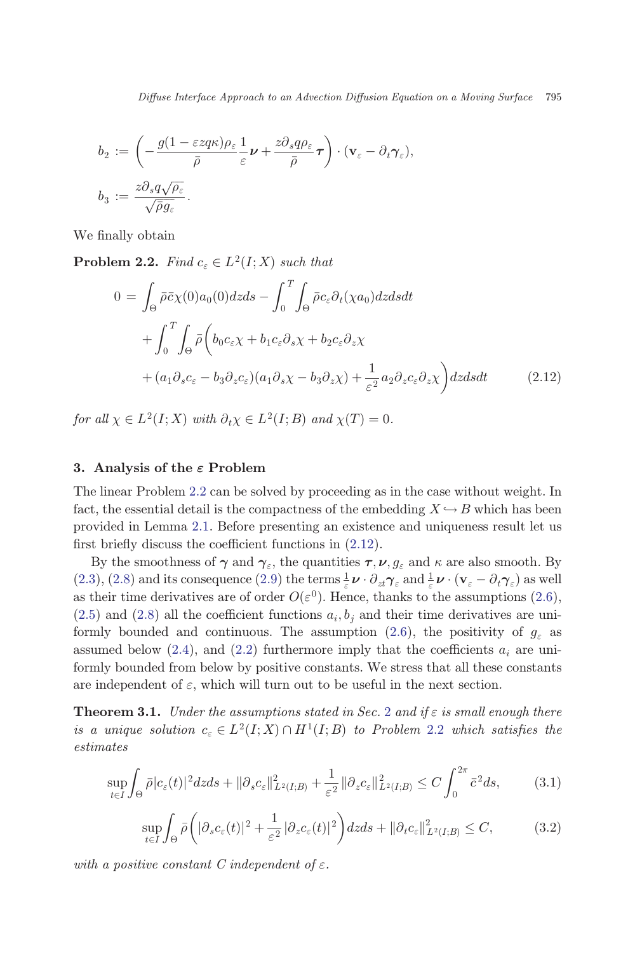<span id="page-8-0"></span>
$$
b_2 := \left(-\frac{g(1-\varepsilon z q \kappa)\rho_\varepsilon}{\bar{\rho}}\frac{1}{\varepsilon}\boldsymbol{\nu} + \frac{z \partial_s q \rho_\varepsilon}{\bar{\rho}}\boldsymbol{\tau}\right) \cdot (\mathbf{v}_\varepsilon - \partial_t \boldsymbol{\gamma}_\varepsilon),
$$
  

$$
b_3 := \frac{z \partial_s q \sqrt{\rho_\varepsilon}}{\sqrt{\bar{\rho} g_\varepsilon}}.
$$

We finally obtain

**Problem 2.2.** Find  $c_{\varepsilon} \in L^2(I;X)$  such that

$$
0 = \int_{\Theta} \bar{\rho} \bar{c} \chi(0) a_0(0) dz ds - \int_0^T \int_{\Theta} \bar{\rho} c_{\varepsilon} \partial_t(\chi a_0) dz ds dt + \int_0^T \int_{\Theta} \bar{\rho} \left( b_0 c_{\varepsilon} \chi + b_1 c_{\varepsilon} \partial_s \chi + b_2 c_{\varepsilon} \partial_z \chi \right. + (a_1 \partial_s c_{\varepsilon} - b_3 \partial_z c_{\varepsilon}) (a_1 \partial_s \chi - b_3 \partial_z \chi) + \frac{1}{\varepsilon^2} a_2 \partial_z c_{\varepsilon} \partial_z \chi \right) dz ds dt
$$
 (2.12)

for all  $\chi \in L^2(I;X)$  with  $\partial_t \chi \in L^2(I;B)$  and  $\chi(T) = 0$ .

# 3. Analysis of the  $\varepsilon$  Problem

The linear Problem 2.2 can be solved by proceeding as in the case without weight. In fact, the essential detail is the compactness of the embedding  $X \hookrightarrow B$  which has been provided in Lemma 2.1. Before presenting an existence and uniqueness result let us first briefly discuss the coefficient functions in  $(2.12)$ .

By the smoothness of  $\gamma$  and  $\gamma_s$ , the quantities  $\tau, \nu, g_s$  and  $\kappa$  are also smooth. By  $(2.3)$  $(2.3)$ ,  $(2.8)$  and its consequence  $(2.9)$  $(2.9)$  $(2.9)$  the terms  $\frac{1}{\varepsilon} \boldsymbol{\nu} \cdot \partial_{zt} \gamma_{\varepsilon}$  and  $\frac{1}{\varepsilon} \boldsymbol{\nu} \cdot (\mathbf{v}_{\varepsilon} - \partial_t \gamma_{\varepsilon})$  as well as their time derivatives are of order  $O(\varepsilon^0)$ . Hence, thanks to the assumptions ([2.6](#page-4-0)),  $(2.5)$  $(2.5)$  and  $(2.8)$  all the coefficient functions  $a_i, b_j$  and their time derivatives are uni-formly bounded and continuous. The assumption [\(2.6](#page-4-0)), the positivity of  $g_{\varepsilon}$  as assumed below ([2.4](#page-3-0)), and ([2.2](#page-3-0)) furthermore imply that the coefficients  $a_i$  are uniformly bounded from below by positive constants. We stress that all these constants are independent of  $\varepsilon$ , which will turn out to be useful in the next section.

**Theorem 3.1.** Under the assumptions stated in Sec. [2](#page-2-0) and if  $\varepsilon$  is small enough there is a unique solution  $c_{\varepsilon} \in L^2(I; X) \cap H^1(I; B)$  to Problem 2.2 which satisfies the estimates

$$
\sup_{t \in I} \int_{\Theta} \bar{\rho} |c_{\varepsilon}(t)|^2 dz ds + ||\partial_s c_{\varepsilon}||_{L^2(I;B)}^2 + \frac{1}{\varepsilon^2} ||\partial_z c_{\varepsilon}||_{L^2(I;B)}^2 \le C \int_0^{2\pi} \bar{c}^2 ds, \tag{3.1}
$$

$$
\sup_{t\in I}\int_{\Theta}\bar{\rho}\bigg(|\partial_{s}c_{\varepsilon}(t)|^{2}+\frac{1}{\varepsilon^{2}}|\partial_{z}c_{\varepsilon}(t)|^{2}\bigg)dzds+\|\partial_{t}c_{\varepsilon}\|_{L^{2}(I;B)}^{2}\leq C,
$$
\n(3.2)

with a positive constant C independent of  $\varepsilon$ .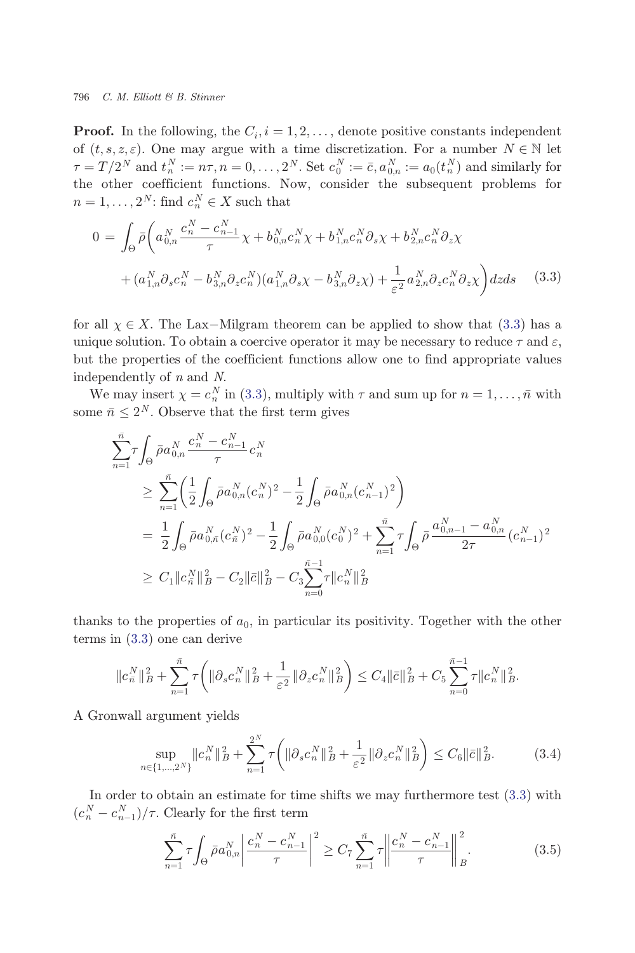<span id="page-9-0"></span>**Proof.** In the following, the  $C_i$ ,  $i = 1, 2, \ldots$ , denote positive constants independent of  $(t, s, z, \varepsilon)$ . One may argue with a time discretization. For a number  $N \in \mathbb{N}$  let  $\tau = T/2^N$  and  $t_n^N := n\tau, n = 0, \ldots, 2^N$ . Set  $c_0^N := \bar{c}, a_{0,n}^N := a_0(t_n^N)$  and similarly for<br>the other coefficient functions. Now, consider the subsequent problems for the other coefficient functions. Now, consider the subsequent problems for  $n = 1, \ldots, 2^N$ : find  $c_n^N \in X$  such that

$$
0 = \int_{\Theta} \bar{\rho} \left( a_{0,n}^{N} \frac{c_{n}^{N} - c_{n-1}^{N}}{\tau} \chi + b_{0,n}^{N} c_{n}^{N} \chi + b_{1,n}^{N} c_{n}^{N} \partial_{s} \chi + b_{2,n}^{N} c_{n}^{N} \partial_{z} \chi + (a_{1,n}^{N} \partial_{s} c_{n}^{N} - b_{3,n}^{N} \partial_{z} c_{n}^{N}) (a_{1,n}^{N} \partial_{s} \chi - b_{3,n}^{N} \partial_{z} \chi) + \frac{1}{\varepsilon^{2}} a_{2,n}^{N} \partial_{z} c_{n}^{N} \partial_{z} \chi \right) dz ds
$$
 (3.3)

for all  $\chi \in X$ . The Lax-Milgram theorem can be applied to show that (3.3) has a<br>unique solution. To obtain a coordinate property it may be necessary to reduce  $\tau$  and  $\epsilon$ unique solution. To obtain a coercive operator it may be necessary to reduce  $\tau$  and  $\varepsilon$ , but the properties of the coefficient functions allow one to find appropriate values independently of n and N.

We may insert  $\chi = c_n^N$  in (3.3), multiply with  $\tau$  and sum up for  $n = 1, ..., \bar{n}$  with  $\max_{n=1}^{\infty} c_n^N$ . Observe that the first term gives some  $\bar{n} \leq 2^N$ . Observe that the first term gives

$$
\sum_{n=1}^{\bar{n}} \tau \int_{\Theta} \bar{\rho} a_{0,n}^{N} \frac{c_n^{N} - c_{n-1}^{N}}{\tau} c_n^{N}
$$
\n
$$
\geq \sum_{n=1}^{\bar{n}} \left( \frac{1}{2} \int_{\Theta} \bar{\rho} a_{0,n}^{N} (c_n^{N})^2 - \frac{1}{2} \int_{\Theta} \bar{\rho} a_{0,n}^{N} (c_{n-1}^{N})^2 \right)
$$
\n
$$
= \frac{1}{2} \int_{\Theta} \bar{\rho} a_{0,\bar{n}}^{N} (c_n^{N})^2 - \frac{1}{2} \int_{\Theta} \bar{\rho} a_{0,0}^{N} (c_0^{N})^2 + \sum_{n=1}^{\bar{n}} \tau \int_{\Theta} \bar{\rho} \frac{a_{0,n-1}^{N} - a_{0,n}^{N}}{2\tau} (c_{n-1}^{N})^2
$$
\n
$$
\geq C_1 \|c_n^{N} \|_{B}^2 - C_2 \|\bar{c}\|_{B}^2 - C_3 \sum_{n=0}^{\bar{n}-1} \tau \|c_n^{N} \|_{B}^2
$$

thanks to the properties of  $a_0$ , in particular its positivity. Together with the other terms in (3.3) one can derive

$$
\|c_n^N\|_B^2 + \sum_{n=1}^{\bar{n}} \tau \bigg( \|\partial_s c_n^N\|_B^2 + \frac{1}{\varepsilon^2} \|\partial_z c_n^N\|_B^2 \bigg) \leq C_4 \|\bar{c}\|_B^2 + C_5 \sum_{n=0}^{\bar{n}-1} \tau \|c_n^N\|_B^2.
$$

A Gronwall argument yields

$$
\sup_{n\in\{1,\ldots,2^N\}}\|c_n^N\|_B^2 + \sum_{n=1}^{2^N} \tau\bigg(\|\partial_s c_n^N\|_B^2 + \frac{1}{\varepsilon^2} \|\partial_z c_n^N\|_B^2\bigg) \le C_6\|\bar{c}\|_B^2. \tag{3.4}
$$

In order to obtain an estimate for time shifts we may furthermore test (3.3) with  $(c_n^N - c_{n-1}^N)/\tau$ . Clearly for the first term

$$
\sum_{n=1}^{\bar{n}} \tau \int_{\Theta} \bar{\rho} a_{0,n}^N \left| \frac{c_n^N - c_{n-1}^N}{\tau} \right|^2 \ge C_7 \sum_{n=1}^{\bar{n}} \tau \left| \frac{c_n^N - c_{n-1}^N}{\tau} \right|^2 \Big|_B^2. \tag{3.5}
$$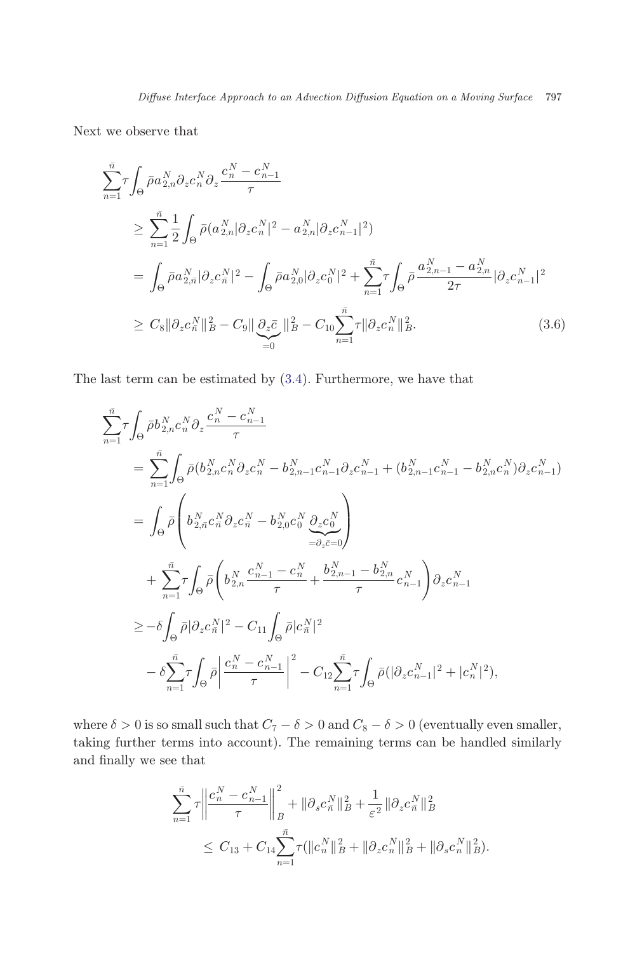Next we observe that

$$
\sum_{n=1}^{\bar{n}} \tau \int_{\Theta} \bar{\rho} a_{2,n}^{N} \partial_{z} c_{n}^{N} \partial_{z} \frac{c_{n}^{N} - c_{n-1}^{N}}{\tau} \n\geq \sum_{n=1}^{\bar{n}} \frac{1}{2} \int_{\Theta} \bar{\rho} (a_{2,n}^{N} |\partial_{z} c_{n}^{N}|^{2} - a_{2,n}^{N} |\partial_{z} c_{n-1}^{N}|^{2}) \n= \int_{\Theta} \bar{\rho} a_{2,n}^{N} |\partial_{z} c_{n}^{N}|^{2} - \int_{\Theta} \bar{\rho} a_{2,0}^{N} |\partial_{z} c_{0}^{N}|^{2} + \sum_{n=1}^{\bar{n}} \tau \int_{\Theta} \bar{\rho} \frac{a_{2,n-1}^{N} - a_{2,n}^{N}}{2\tau} |\partial_{z} c_{n-1}^{N}|^{2} \n\geq C_{8} ||\partial_{z} c_{n}^{N}||_{B}^{2} - C_{9} ||\partial_{z} \bar{c} ||_{B}^{2} - C_{10} \sum_{n=1}^{\bar{n}} \tau ||\partial_{z} c_{n}^{N}||_{B}^{2}.
$$
\n(3.6)

The last term can be estimated by [\(3.4\)](#page-9-0). Furthermore, we have that

$$
\sum_{n=1}^{\bar{n}} \tau \int_{\Theta} \bar{\rho} b_{2,n}^{N} c_n^{N} \partial_z \frac{c_n^{N} - c_{n-1}^{N}}{\tau} \n= \sum_{n=1}^{\bar{n}} \int_{\Theta} \bar{\rho} (b_{2,n}^{N} c_n^{N} \partial_z c_n^{N} - b_{2,n-1}^{N} c_{n-1}^{N} \partial_z c_{n-1}^{N} + (b_{2,n-1}^{N} c_{n-1}^{N} - b_{2,n}^{N} c_n^{N}) \partial_z c_{n-1}^{N}) \n= \int_{\Theta} \bar{\rho} \left( b_{2,n}^{N} c_n^{N} \partial_z c_n^{N} - b_{2,0}^{N} c_0^{N} \frac{\partial_z c_0^{N}}{\partial_z c_{n-1}^{N}} \right) \n+ \sum_{n=1}^{\bar{n}} \tau \int_{\Theta} \bar{\rho} \left( b_{2,n}^{N} \frac{c_n^{N} - 1 - c_n^{N}}{\tau} + \frac{b_{2,n-1}^{N} - b_{2,n}^{N}}{\tau} c_{n-1}^{N} \right) \partial_z c_{n-1}^{N} \n\geq -\delta \int_{\Theta} \bar{\rho} |\partial_z c_n^{N}|^2 - C_{11} \int_{\Theta} \bar{\rho} |c_n^{N}|^2 \n- \delta \sum_{n=1}^{\bar{n}} \tau \int_{\Theta} \bar{\rho} \left| \frac{c_n^{N} - c_{n-1}^{N}}{\tau} \right|^2 - C_{12} \sum_{n=1}^{\bar{n}} \tau \int_{\Theta} \bar{\rho} (|\partial_z c_{n-1}^{N}|^2 + |c_n^{N}|^2),
$$

where  $\delta > 0$  is so small such that  $C_7 - \delta > 0$  and  $C_8 - \delta > 0$  (eventually even smaller, taking further terms into account). The remaining terms can be handled similarly and finally we see that

$$
\sum_{n=1}^{\bar{n}} \tau \left\| \frac{c_n^N - c_{n-1}^N}{\tau} \right\|_B^2 + \|\partial_s c_n^N\|_B^2 + \frac{1}{\varepsilon^2} \|\partial_z c_n^N\|_B^2
$$
  

$$
\leq C_{13} + C_{14} \sum_{n=1}^{\bar{n}} \tau (\|c_n^N\|_B^2 + \|\partial_z c_n^N\|_B^2 + \|\partial_s c_n^N\|_B^2).
$$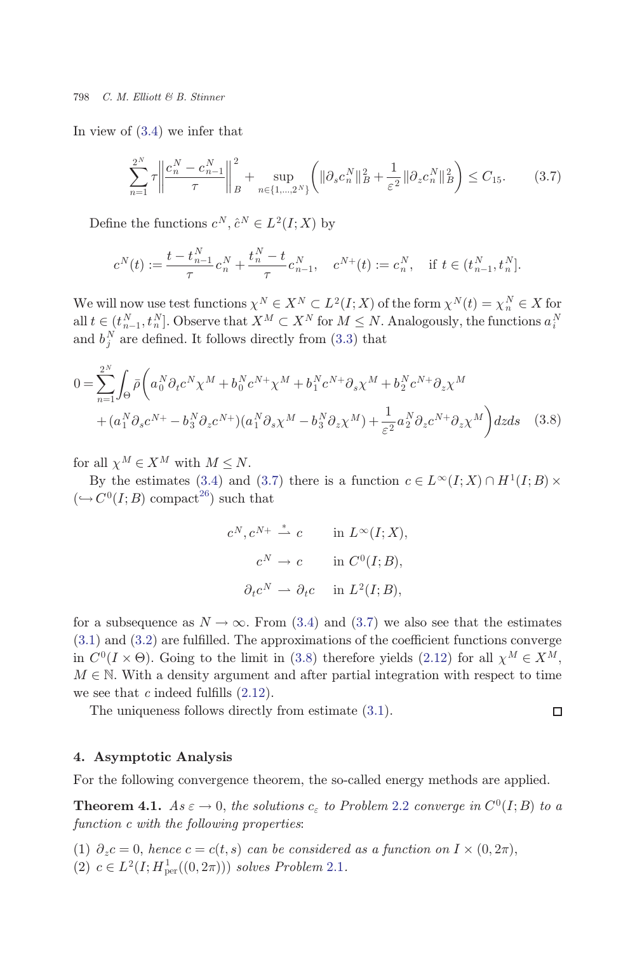<span id="page-11-0"></span>In view of ([3.4\)](#page-9-0) we infer that

$$
\sum_{n=1}^{2^N} \tau \left\| \frac{c_n^N - c_{n-1}^N}{\tau} \right\|_B^2 + \sup_{n \in \{1, \dots, 2^N\}} \left( \|\partial_s c_n^N\|_B^2 + \frac{1}{\varepsilon^2} \|\partial_z c_n^N\|_B^2 \right) \le C_{15}.\tag{3.7}
$$

Define the functions  $c^N$ ,  $\hat{c}^N \in L^2(I; X)$  by

$$
c^N(t):=\frac{t-t_{n-1}^N}{\tau}c_n^N+\frac{t_n^N-t}{\tau}c_{n-1}^N, \quad c^{N+}(t):=c_n^N, \quad \text{if } t\in(t_{n-1}^N,t_n^N].
$$

We will now use test functions  $\chi^N \in X^N \subset L^2(I;X)$  of the form  $\chi^N(t) = \chi^N \in X$  for  $\chi^N \in \mathcal{N}$  for  $M \subset N$ . Analogously, the functions  $\sigma^N$ all  $t \in (t_{n-1}^N, t_n^N]$ . Observe that  $X^M \subset X^N$  for  $M \leq N$ . Analogously, the functions  $a_i^N$ <br>and  $b^N$  are defined. It follows directly from (3.3) that and  $b_j^N$  are defined. It follows directly from [\(3.3](#page-9-0)) that

$$
0 = \sum_{n=1}^{2^N} \int_{\Theta} \bar{\rho} \left( a_0^N \partial_t c^N \chi^M + b_0^N c^{N+} \chi^M + b_1^N c^{N+} \partial_s \chi^M + b_2^N c^{N+} \partial_s \chi^M \right. \\
\left. + (a_1^N \partial_s c^{N+} - b_3^N \partial_z c^{N+}) (a_1^N \partial_s \chi^M - b_3^N \partial_z \chi^M) + \frac{1}{\varepsilon^2} a_2^N \partial_z c^{N+} \partial_z \chi^M \right) dz ds \quad (3.8)
$$

for all  $\chi^M \in X^M$  with  $M \leq N$ .<br>By the estimates (3.4) and

By the estimates [\(3.4\)](#page-9-0) and (3.7) there is a function  $c \in L^{\infty}(I; X) \cap H^1(I; B) \times$  $(\hookrightarrow C^0(I; B)$  compact<sup>[26](#page-15-0)</sup>) such that

$$
c^N, c^{N+} \stackrel{*}{\rightharpoonup} c \qquad \text{in } L^\infty(I; X),
$$
  

$$
c^N \rightharpoonup c \qquad \text{in } C^0(I; B),
$$
  

$$
\partial_t c^N \rightharpoonup \partial_t c \qquad \text{in } L^2(I; B),
$$

for a subsequence as  $N \to \infty$ . From ([3.4](#page-9-0)) and (3.7) we also see that the estimates  $(3.1)$  $(3.1)$  and  $(3.2)$  $(3.2)$  $(3.2)$  are fulfilled. The approximations of the coefficient functions converge in  $C^0(I \times \Theta)$ . Going to the limit in ([3.8](#page-9-0)) therefore yields ([2.12\)](#page-8-0) for all  $\chi^M \in X^M$ ,<br>  $M \subset \mathbb{N}$  With a density argument and ofter partial integration with respect to time  $M \in \mathbb{N}$ . With a density argument and after partial integration with respect to time we see that  $c$  indeed fulfills  $(2.12)$  $(2.12)$ .

П

The uniqueness follows directly from estimate ([3.1](#page-8-0)).

# 4. Asymptotic Analysis

For the following convergence theorem, the so-called energy methods are applied.

**Theorem 4.1.** As  $\varepsilon \to 0$ , the solutions  $c_{\varepsilon}$  to Problem 2.2 converge in  $C^0(I;B)$  to a function c with the following properties:

(1)  $\partial_z c = 0$ , hence  $c = c(t, s)$  can be considered as a function on  $I \times (0, 2\pi)$ , (2)  $c \in L^2(I; H^1_{\text{per}}((0, 2\pi)))$  solves Problem 2.1.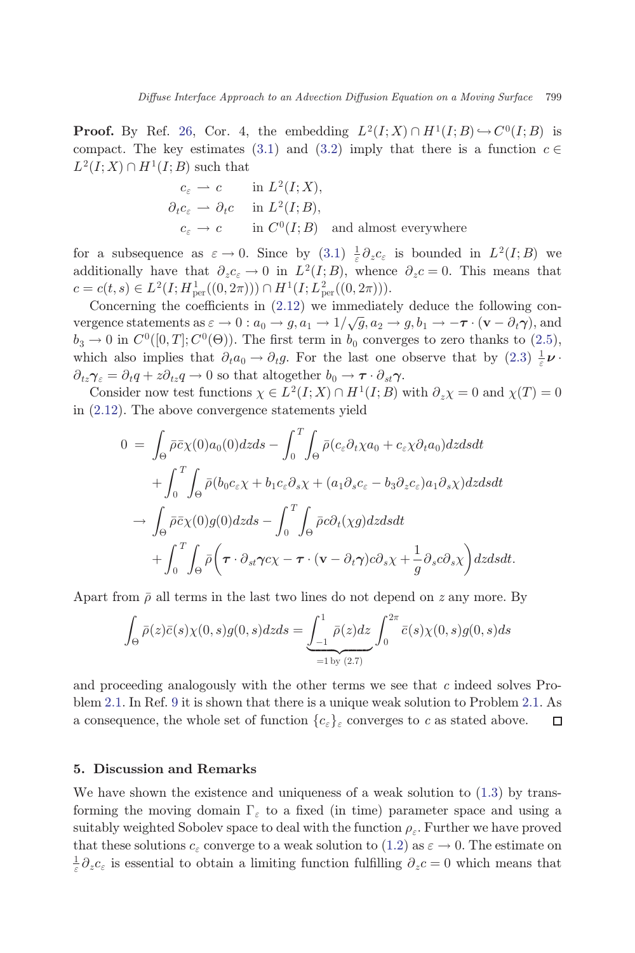<span id="page-12-0"></span>**Proof.** By Ref. [26,](#page-15-0) Cor. 4, the embedding  $L^2(I;X) \cap H^1(I;B) \hookrightarrow C^0(I;B)$  is compact. The key estimates [\(3.1](#page-8-0)) and [\(3.2\)](#page-8-0) imply that there is a function  $c \in$  $L^2(I;X) \cap H^1(I;B)$  such that

$$
c_{\varepsilon} \rightharpoonup c \qquad \text{in } L^{2}(I;X),
$$
  
\n
$$
\partial_{t}c_{\varepsilon} \rightharpoonup \partial_{t}c \qquad \text{in } L^{2}(I;B),
$$
  
\n
$$
c_{\varepsilon} \rightharpoonup c \qquad \text{in } C^{0}(I;B) \quad \text{and almost everywhere}
$$

for a subsequence as  $\varepsilon \to 0$ . Since by  $(3.1) \frac{1}{\varepsilon} \partial_z c_{\varepsilon}$  $(3.1) \frac{1}{\varepsilon} \partial_z c_{\varepsilon}$  is bounded in  $L^2(I;B)$  we<br>additionally have that  $\partial_z c_{\varepsilon} \to 0$  in  $L^2(I;B)$  whence  $\partial_z c_{\varepsilon} = 0$ . This means that additionally have that  $\partial_z c_{\varepsilon} \to 0$  in  $L^2(I;B)$ , whence  $\partial_z c = 0$ . This means that  $c = c(t, s) \in L^2(I; H^1_{\text{per}}((0, 2\pi))) \cap H^1(I; L^2_{\text{per}}((0, 2\pi))).$ <br>Concerning the coefficients in (2.12) we immediate

Concerning the coefficients in  $(2.12)$  $(2.12)$  $(2.12)$  we immediately deduce the following convergence statements as  $\varepsilon \to 0$ :  $a_0 \to g$ ,  $a_1 \to 1/\sqrt{g}$ ,  $a_2 \to g$ ,  $b_1 \to -\tau \cdot (\mathbf{v} - \partial_t \gamma)$ , and<br>  $b_1 \to 0$  in  $C^0$  ([0  $T^1$ ,  $C^0$ ( $\Theta$ )). The first term in b, converges to zero thanks to (2.5)  $b_3 \to 0$  in  $C^0([0,T]; C^0(\Theta))$ . The first term in  $b_0$  converges to zero thanks to ([2.5](#page-4-0)), which also implies that  $\partial_t a_0 \to \partial_t g$ . For the last one observe that by  $(2.3) \frac{1}{\varepsilon} \nu$  $(2.3) \frac{1}{\varepsilon} \nu$  $(2.3) \frac{1}{\varepsilon} \nu$ .  $\partial_{tz}\gamma_{\varepsilon}=\partial_t q+z\partial_{tz} q\rightarrow 0$  so that altogether  $b_0\rightarrow \tau\cdot\partial_{st}\gamma$ .

Consider now test functions  $\chi \in L^2(I; X) \cap H^1(I; B)$  with  $\partial_z \chi = 0$  and  $\chi(T) = 0$ <br>(2.12). The above convergence statements yield in [\(2.12\)](#page-8-0). The above convergence statements yield

$$
0 = \int_{\Theta} \bar{\rho} \bar{c} \chi(0) a_0(0) dz ds - \int_0^T \int_{\Theta} \bar{\rho} (c_{\varepsilon} \partial_t \chi a_0 + c_{\varepsilon} \chi \partial_t a_0) dz ds dt + \int_0^T \int_{\Theta} \bar{\rho} (b_0 c_{\varepsilon} \chi + b_1 c_{\varepsilon} \partial_s \chi + (a_1 \partial_s c_{\varepsilon} - b_3 \partial_z c_{\varepsilon}) a_1 \partial_s \chi) dz ds dt - \int_{\Theta} \bar{\rho} \bar{c} \chi(0) g(0) dz ds - \int_0^T \int_{\Theta} \bar{\rho} c \partial_t (\chi g) dz ds dt + \int_0^T \int_{\Theta} \bar{\rho} \left( \boldsymbol{\tau} \cdot \partial_{st} \gamma c \chi - \boldsymbol{\tau} \cdot (\mathbf{v} - \partial_t \gamma) c \partial_s \chi + \frac{1}{g} \partial_s c \partial_s \chi \right) dz ds dt.
$$

Apart from  $\bar{\rho}$  all terms in the last two lines do not depend on z any more. By

$$
\int_{\Theta} \bar{\rho}(z)\bar{c}(s)\chi(0,s)g(0,s)dzds = \underbrace{\int_{-1}^{1} \bar{\rho}(z)dz}_{=1 \text{ by } (2.7)} \int_{0}^{2\pi} \bar{c}(s)\chi(0,s)g(0,s)ds
$$

and proceeding analogously with the other terms we see that  $c$  indeed solves Problem 2.1. In Ref. [9](#page-14-0) it is shown that there is a unique weak solution to Problem 2.1. As a consequence, the whole set of function  ${c_{\varepsilon}}_{\varepsilon}$  converges to c as stated above. П

### 5. Discussion and Remarks

We have shown the existence and uniqueness of a weak solution to  $(1.3)$  $(1.3)$  by transforming the moving domain  $\Gamma_{\varepsilon}$  to a fixed (in time) parameter space and using a suitably weighted Sobolev space to deal with the function  $\rho_{\varepsilon}$ . Further we have proved that these solutions  $c_{\varepsilon}$  converge to a weak solution to ([1.2\)](#page-1-0) as  $\varepsilon \to 0$ . The estimate on  $\frac{1}{\varepsilon} \partial_z c_\varepsilon$  is essential to obtain a limiting function fulfilling  $\partial_z c = 0$  which means that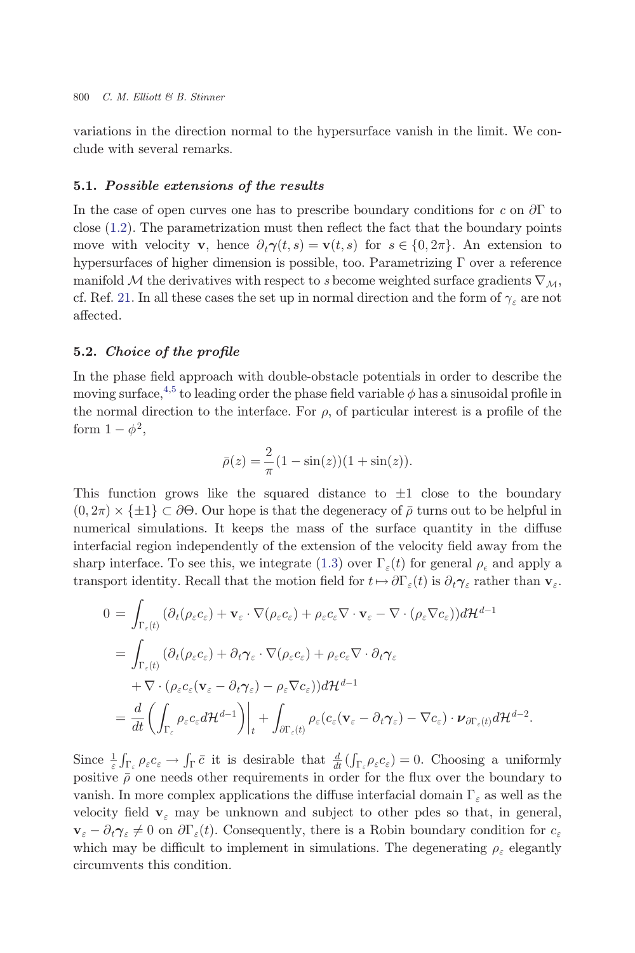variations in the direction normal to the hypersurface vanish in the limit. We conclude with several remarks.

#### 5.1. Possible extensions of the results

In the case of open curves one has to prescribe boundary conditions for c on  $\partial\Gamma$  to close  $(1.2)$  $(1.2)$ . The parametrization must then reflect the fact that the boundary points move with velocity **v**, hence  $\partial_t \gamma(t,s) = \mathbf{v}(t,s)$  for  $s \in \{0, 2\pi\}$ . An extension to hypersurfaces of higher dimension is possible, too. Parametrizing  $\Gamma$  over a reference manifold M the derivatives with respect to s become weighted surface gradients  $\nabla_M$ , cf. Ref. [21.](#page-15-0) In all these cases the set up in normal direction and the form of  $\gamma_{\varepsilon}$  are not affected.

### 5.2. Choice of the profile

In the phase field approach with double-obstacle potentials in order to describe the moving surface,<sup>[4,5](#page-14-0)</sup> to leading order the phase field variable  $\phi$  has a sinusoidal profile in the normal direction to the interface. For  $\rho$ , of particular interest is a profile of the form  $1 - \phi^2$ ,

$$
\bar{\rho}(z) = \frac{2}{\pi} (1 - \sin(z))(1 + \sin(z)).
$$

This function grows like the squared distance to  $\pm 1$  close to the boundary  $(0, 2\pi) \times {\pm 1} \subset \partial \Theta$ . Our hope is that the degeneracy of  $\bar{\rho}$  turns out to be helpful in<br>numerical simulations. It keeps the mass of the surface quantity in the diffuse numerical simulations. It keeps the mass of the surface quantity in the diffuse interfacial region independently of the extension of the velocity field away from the sharp interface. To see this, we integrate ([1.3](#page-1-0)) over  $\Gamma_{\varepsilon}(t)$  for general  $\rho_{\varepsilon}$  and apply a transport identity. Recall that the motion field for  $t \mapsto \partial \Gamma_{\varepsilon}(t)$  is  $\partial_t \gamma_{\varepsilon}$  rather than  $\mathbf{v}_{\varepsilon}$ .

$$
0 = \int_{\Gamma_{\varepsilon}(t)} (\partial_t (\rho_{\varepsilon} c_{\varepsilon}) + \mathbf{v}_{\varepsilon} \cdot \nabla (\rho_{\varepsilon} c_{\varepsilon}) + \rho_{\varepsilon} c_{\varepsilon} \nabla \cdot \mathbf{v}_{\varepsilon} - \nabla \cdot (\rho_{\varepsilon} \nabla c_{\varepsilon})) d\mathcal{H}^{d-1}
$$
  
\n
$$
= \int_{\Gamma_{\varepsilon}(t)} (\partial_t (\rho_{\varepsilon} c_{\varepsilon}) + \partial_t \gamma_{\varepsilon} \cdot \nabla (\rho_{\varepsilon} c_{\varepsilon}) + \rho_{\varepsilon} c_{\varepsilon} \nabla \cdot \partial_t \gamma_{\varepsilon}
$$
  
\n
$$
+ \nabla \cdot (\rho_{\varepsilon} c_{\varepsilon} (\mathbf{v}_{\varepsilon} - \partial_t \gamma_{\varepsilon}) - \rho_{\varepsilon} \nabla c_{\varepsilon})) d\mathcal{H}^{d-1}
$$
  
\n
$$
= \frac{d}{dt} \left( \int_{\Gamma_{\varepsilon}} \rho_{\varepsilon} c_{\varepsilon} d\mathcal{H}^{d-1} \right) \Big|_{t} + \int_{\partial \Gamma_{\varepsilon}(t)} \rho_{\varepsilon} (c_{\varepsilon} (\mathbf{v}_{\varepsilon} - \partial_t \gamma_{\varepsilon}) - \nabla c_{\varepsilon}) \cdot \nu_{\partial \Gamma_{\varepsilon}(t)} d\mathcal{H}^{d-2}.
$$

Since  $\frac{1}{\varepsilon} \int_{\Gamma_{\varepsilon}} \rho_{\varepsilon} c_{\varepsilon} \to \int_{\Gamma} \bar{c}$  it is desirable that  $\frac{d}{dt} (\int_{\Gamma_{\varepsilon}} \rho_{\varepsilon} c_{\varepsilon}) = 0$ . Choosing a uniformly  $\sum_{\varepsilon} \int_{\Gamma_{\varepsilon}}^{\Gamma_{\varepsilon}} \rho_{\varepsilon} c_{\varepsilon}$  of  $\Gamma_{\varepsilon}$  is desirable via<br>the  $\frac{d}{dt} \langle \prod_{\varepsilon} \rho_{\varepsilon} c_{\varepsilon} \rangle = 0$ . Choosing a dimormity positive  $\overline{\rho}$  one needs other requirements in order for the flux over the vanish. In more complex applications the diffuse interfacial domain  $\Gamma_{\varepsilon}$  as well as the velocity field  $v_{\varepsilon}$  may be unknown and subject to other pdes so that, in general,  $\mathbf{v}_{\varepsilon} - \partial_t \gamma_{\varepsilon} \neq 0$  on  $\partial \Gamma_{\varepsilon}(t)$ . Consequently, there is a Robin boundary condition for  $c_{\varepsilon}$ which may be difficult to implement in simulations. The degenerating  $\rho_{\varepsilon}$  elegantly circumvents this condition.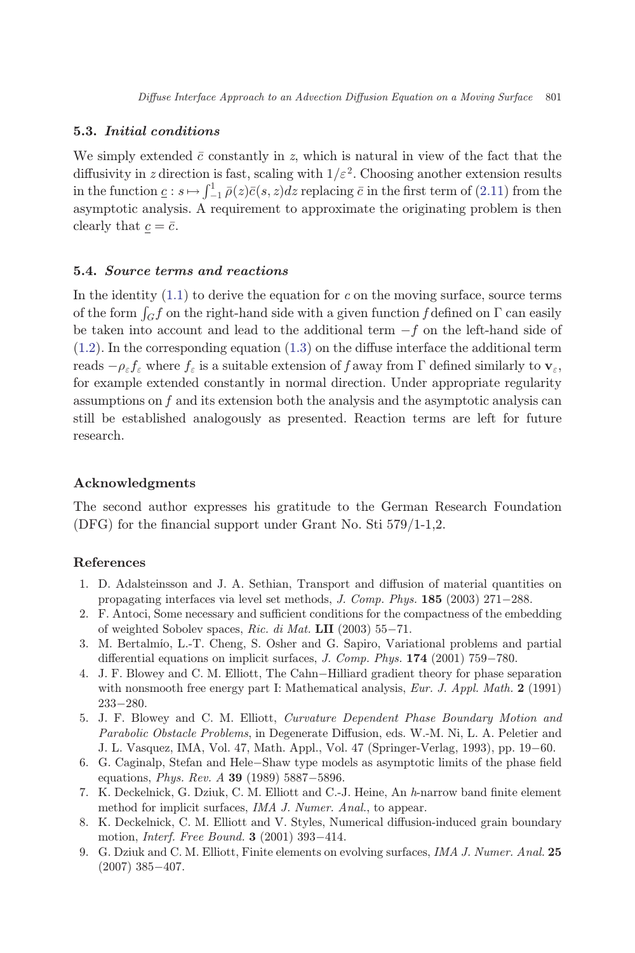### <span id="page-14-0"></span>5.3. Initial conditions

We simply extended  $\bar{c}$  constantly in z, which is natural in view of the fact that the diffusivity in z direction is fast, scaling with  $1/\varepsilon^2$ . Choosing another extension results in the function  $\underline{c}$ :  $s \mapsto \int_{-1}^{1} \overline{\rho}(z) \overline{c}(s, z) dz$  replacing  $\overline{c}$  in the first term of ([2.11](#page-7-0)) from the<br>asymptotic analysis. A requirement to approximate the originating problem is then asymptotic analysis. A requirement to approximate the originating problem is then clearly that  $c = \overline{c}$ .

# 5.4. Source terms and reactions

In the identity  $(1.1)$  $(1.1)$  $(1.1)$  to derive the equation for c on the moving surface, source terms of the form  $\int_G f$  on the right-hand side with a given function f defined on  $\Gamma$  can easily be taken into account and lead to the additional term  $-f$  on the left-hand side of  $(1.2)$  $(1.2)$ . In the corresponding equation  $(1.3)$  $(1.3)$  on the diffuse interface the additional term reads  $-\rho_{\varepsilon} f_{\varepsilon}$  where  $f_{\varepsilon}$  is a suitable extension of f away from  $\Gamma$  defined similarly to  $\mathbf{v}_{\varepsilon}$ , for example extended constantly in normal direction. Under appropriate regularity assumptions on  $f$  and its extension both the analysis and the asymptotic analysis can still be established analogously as presented. Reaction terms are left for future research.

## Acknowledgments

The second author expresses his gratitude to the German Research Foundation  $(DFG)$  for the financial support under Grant No. Sti  $579/1-1.2$ .

# References

- 1. D. Adalsteinsson and J. A. Sethian, Transport and diffusion of material quantities on propagating interfaces via level set methods,  $J. Comp. Phys. 185 (2003) 271-288$ .
- 2. F. Antoci, Some necessary and sufficient conditions for the compactness of the embedding of weighted Sobolev spaces, Ric. di Mat. LII (2003)  $55-71$ .
- 3. M. Bertalmío, L.-T. Cheng, S. Osher and G. Sapiro, Variational problems and partial differential equations on implicit surfaces,  $J.$  Comp. Phys.  $174$  (2001) 759-780.
- 4. J. F. Blowey and C. M. Elliott, The Cahn-Hilliard gradient theory for phase separation with nonsmooth free energy part I: Mathematical analysis, Eur. J. Appl. Math. 2 (1991)  $233 - 280.$
- 5. J. F. Blowey and C. M. Elliott, Curvature Dependent Phase Boundary Motion and Parabolic Obstacle Problems, in Degenerate Diffusion, eds. W.-M. Ni, L. A. Peletier and J. L. Vasquez, IMA, Vol. 47, Math. Appl., Vol. 47 (Springer-Verlag, 1993), pp. 19–60.
- 6. G. Caginalp, Stefan and Hele-Shaw type models as asymptotic limits of the phase field equations, *Phys. Rev. A* **39** (1989) 5887-5896.
- 7. K. Deckelnick, G. Dziuk, C. M. Elliott and C.-J. Heine, An  $h$ -narrow band finite element method for implicit surfaces, IMA J. Numer. Anal., to appear.
- 8. K. Deckelnick, C. M. Elliott and V. Styles, Numerical diffusion-induced grain boundary motion, *Interf. Free Bound.*  $3$  (2001) 393-414.
- 9. G. Dziuk and C. M. Elliott, Finite elements on evolving surfaces, IMA J. Numer. Anal. 25  $(2007)$  385-407.